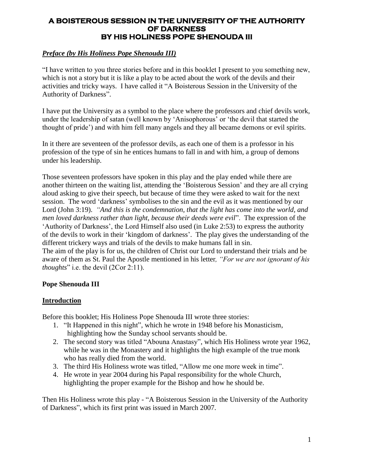## **A BOISTEROUS SESSION IN THE UNIVERSITY OF THE AUTHORITY OF DARKNESS BY HIS HOLINESS POPE SHENOUDA III**

## *Preface (by His Holiness Pope Shenouda III)*

"I have written to you three stories before and in this booklet I present to you something new, which is not a story but it is like a play to be acted about the work of the devils and their activities and tricky ways. I have called it "A Boisterous Session in the University of the Authority of Darkness".

I have put the University as a symbol to the place where the professors and chief devils work, under the leadership of satan (well known by "Anisophorous" or "the devil that started the thought of pride") and with him fell many angels and they all became demons or evil spirits.

In it there are seventeen of the professor devils, as each one of them is a professor in his profession of the type of sin he entices humans to fall in and with him, a group of demons under his leadership.

Those seventeen professors have spoken in this play and the play ended while there are another thirteen on the waiting list, attending the "Boisterous Session" and they are all crying aloud asking to give their speech, but because of time they were asked to wait for the next session. The word "darkness" symbolises to the sin and the evil as it was mentioned by our Lord (John 3:19). *"And this is the condemnation, that the light has come into the world, and men loved darkness rather than light, because their deeds were evil*". The expression of the "Authority of Darkness", the Lord Himself also used (in Luke 2:53) to express the authority of the devils to work in their "kingdom of darkness". The play gives the understanding of the different trickery ways and trials of the devils to make humans fall in sin.

The aim of the play is for us, the children of Christ our Lord to understand their trials and be aware of them as St. Paul the Apostle mentioned in his letter*, "For we are not ignorant of his thoughts*" i.e. the devil (2Cor 2:11).

## **Pope Shenouda III**

## **Introduction**

Before this booklet; His Holiness Pope Shenouda III wrote three stories:

- 1. "It Happened in this night", which he wrote in 1948 before his Monasticism, highlighting how the Sunday school servants should be.
- 2. The second story was titled "Abouna Anastasy", which His Holiness wrote year 1962, while he was in the Monastery and it highlights the high example of the true monk who has really died from the world.
- 3. The third His Holiness wrote was titled, "Allow me one more week in time".
- 4. He wrote in year 2004 during his Papal responsibility for the whole Church, highlighting the proper example for the Bishop and how he should be.

Then His Holiness wrote this play - "A Boisterous Session in the University of the Authority of Darkness", which its first print was issued in March 2007.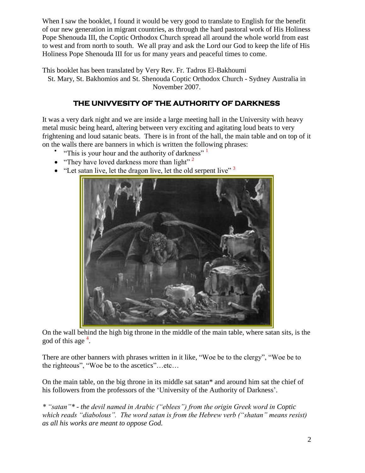When I saw the booklet, I found it would be very good to translate to English for the benefit of our new generation in migrant countries, as through the hard pastoral work of His Holiness Pope Shenouda III, the Coptic Orthodox Church spread all around the whole world from east to west and from north to south. We all pray and ask the Lord our God to keep the life of His Holiness Pope Shenouda III for us for many years and peaceful times to come.

This booklet has been translated by Very Rev. Fr. Tadros El-Bakhoumi St. Mary, St. Bakhomios and St. Shenouda Coptic Orthodox Church - Sydney Australia in November 2007.

## **THE UNIVVESITY OF THE AUTHORITY OF DARKNESS**

It was a very dark night and we are inside a large meeting hall in the University with heavy metal music being heard, altering between very exciting and agitating loud beats to very frightening and loud satanic beats. There is in front of the hall, the main table and on top of it on the walls there are banners in which is written the following phrases:

- "This is your hour and the authority of darkness"<sup>1</sup>
- "They have loved darkness more than light"<sup>2</sup>
- "Let satan live, let the dragon live, let the old serpent live"  $3$



On the wall behind the high big throne in the middle of the main table, where satan sits, is the god of this age<sup>4</sup>.

There are other banners with phrases written in it like, "Woe be to the clergy", "Woe be to the righteous", "Woe be to the ascetics"…etc…

On the main table, on the big throne in its middle sat satan\* and around him sat the chief of his followers from the professors of the 'University of the Authority of Darkness'.

*\* "satan"\* - the devil named in Arabic ("eblees") from the origin Greek word in Coptic which reads "diabolous". The word satan is from the Hebrew verb ("shatan" means resist) as all his works are meant to oppose God.*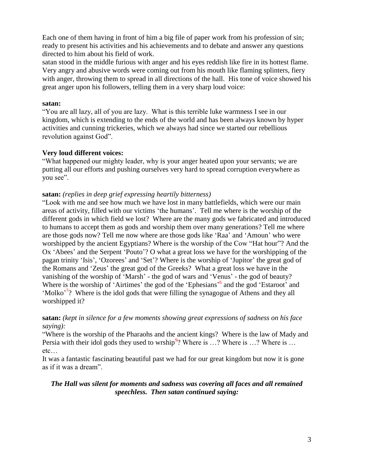Each one of them having in front of him a big file of paper work from his profession of sin; ready to present his activities and his achievements and to debate and answer any questions directed to him about his field of work.

satan stood in the middle furious with anger and his eyes reddish like fire in its hottest flame. Very angry and abusive words were coming out from his mouth like flaming splinters, fiery with anger, throwing them to spread in all directions of the hall. His tone of voice showed his great anger upon his followers, telling them in a very sharp loud voice:

#### **satan:**

"You are all lazy, all of you are lazy. What is this terrible luke warmness I see in our kingdom, which is extending to the ends of the world and has been always known by hyper activities and cunning trickeries, which we always had since we started our rebellious revolution against God".

#### **Very loud different voices:**

"What happened our mighty leader, why is your anger heated upon your servants; we are putting all our efforts and pushing ourselves very hard to spread corruption everywhere as you see".

#### **satan:** *(replies in deep grief expressing heartily bitterness)*

"Look with me and see how much we have lost in many battlefields, which were our main areas of activity, filled with our victims "the humans". Tell me where is the worship of the different gods in which field we lost? Where are the many gods we fabricated and introduced to humans to accept them as gods and worship them over many generations? Tell me where are those gods now? Tell me now where are those gods like "Raa" and "Amoun" who were worshipped by the ancient Egyptians? Where is the worship of the Cow "Hat hour"? And the Ox 'Abees' and the Serpent 'Pouto'? O what a great loss we have for the worshipping of the pagan trinity "Isis", "Ozorees" and "Set"? Where is the worship of "Jupitor" the great god of the Romans and "Zeus" the great god of the Greeks? What a great loss we have in the vanishing of the worship of "Marsh" - the god of wars and "Venus" - the god of beauty? Where is the worship of 'Airtimes' the god of the 'Ephesians'<sup>6</sup> and the god 'Estaroot' and 'Molko'<sup>7</sup>? Where is the idol gods that were filling the synagogue of Athens and they all worshipped it?

**satan:** *(kept in silence for a few moments showing great expressions of sadness on his face saying):*

"Where is the worship of the Pharaohs and the ancient kings? Where is the law of Mady and Persia with their idol gods they used to wrship<sup>9</sup>? Where is ...? Where is ...? Where is ... etc…

It was a fantastic fascinating beautiful past we had for our great kingdom but now it is gone as if it was a dream".

## *The Hall was silent for moments and sadness was covering all faces and all remained speechless. Then satan continued saying:*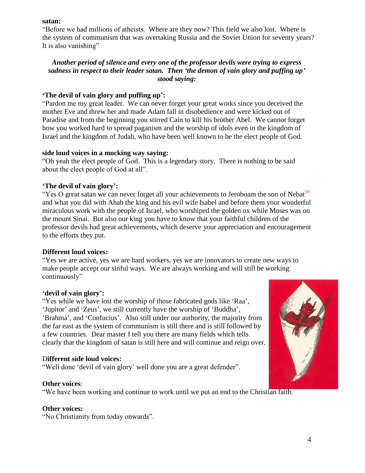#### **satan:**

"Before we had millions of atheists. Where are they now? This field we also lost. Where is the system of communism that was overtaking Russia and the Soviet Union for seventy years? It is also vanishing"

## *Another period of silence and every one of the professor devils were trying to express sadness in respect to their leader satan. Then 'the demon of vain glory and puffing up' stood saying:*

## **'The devil of vain glory and puffing up':**

"Pardon me my great leader. We can never forget your great works since you deceived the mother Eve and threw her and made Adam fall in disobedience and were kicked out of Paradise and from the beginning you stirred Cain to kill his brother Abel. We cannot forget how you worked hard to spread paganism and the worship of idols even in the kingdom of Israel and the kingdom of Judah, who have been well known to be the elect people of God.

## **side loud voices in a mocking way saying:**

"Oh yeah the elect people of God. This is a legendary story. There is nothing to be said about the elect people of God at all".

## **'The devil of vain glory':**

"Yes O great satan we can never forget all your achievements to Jeroboam the son of Nebat<sup>10</sup> and what you did with Ahab the king and his evil wife Isabel and before them your wonderful miraculous work with the people of Israel, who worshiped the golden ox while Moses was on the mount Sinai. But also our king you have to know that your faithful children of the professor devils had great achievements, which deserve your appreciation and encouragement to the efforts they put.

## **Different loud voices:**

"Yes we are active, yes we are hard workers, yes we are innovators to create new ways to make people accept our sinful ways. We are always working and will still be working continuously"

#### **'devil of vain glory':**

"Yes while we have lost the worship of those fabricated gods like "Raa", 'Jupitor' and 'Zeus', we still currently have the worship of 'Buddha', 'Brahma', and 'Confucius'. Also still under our authority, the majority from the far east as the system of communism is still there and is still followed by a few countries. Dear master I tell you there are many fields which tells clearly that the kingdom of satan is still here and will continue and reign over.

## D**ifferent side loud voices:**

"Well done 'devil of vain glory' well done you are a great defender".

## **Other voices**:

"We have been working and continue to work until we put an end to the Christian faith.

#### **Other voices:**

"No Christianity from today onwards".

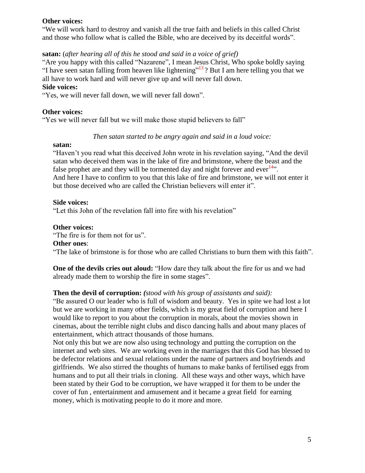#### **Other voices:**

"We will work hard to destroy and vanish all the true faith and beliefs in this called Christ and those who follow what is called the Bible, who are deceived by its deceitful words".

#### **satan:** (*after hearing all of this he stood and said in a voice of grief)*

"Are you happy with this called "Nazarene", I mean Jesus Christ, Who spoke boldly saying "I have seen satan falling from heaven like lightening"<sup>13</sup>? But I am here telling you that we all have to work hard and will never give up and will never fall down.

#### **Side voices:**

"Yes, we will never fall down, we will never fall down".

#### **Other voices:**

"Yes we will never fall but we will make those stupid believers to fall"

#### *Then satan started to be angry again and said in a loud voice:*

#### **satan:**

"Haven"t you read what this deceived John wrote in his revelation saying, "And the devil satan who deceived them was in the lake of fire and brimstone, where the beast and the false prophet are and they will be tormented day and night forever and ever<sup>14</sup>. And here I have to confirm to you that this lake of fire and brimstone, we will not enter it but those deceived who are called the Christian believers will enter it".

#### **Side voices:**

"Let this John of the revelation fall into fire with his revelation"

#### **Other voices:**

"The fire is for them not for us".

## **Other ones**:

"The lake of brimstone is for those who are called Christians to burn them with this faith".

**One of the devils cries out aloud:** "How dare they talk about the fire for us and we had already made them to worship the fire in some stages".

#### **Then the devil of corruption:** *(stood with his group of assistants and said):*

"Be assured O our leader who is full of wisdom and beauty. Yes in spite we had lost a lot but we are working in many other fields, which is my great field of corruption and here I would like to report to you about the corruption in morals, about the movies shown in cinemas, about the terrible night clubs and disco dancing halls and about many places of entertainment, which attract thousands of those humans.

Not only this but we are now also using technology and putting the corruption on the internet and web sites. We are working even in the marriages that this God has blessed to be defector relations and sexual relations under the name of partners and boyfriends and girlfriends. We also stirred the thoughts of humans to make banks of fertilised eggs from humans and to put all their trials in cloning. All these ways and other ways, which have been stated by their God to be corruption, we have wrapped it for them to be under the cover of fun , entertainment and amusement and it became a great field for earning money, which is motivating people to do it more and more.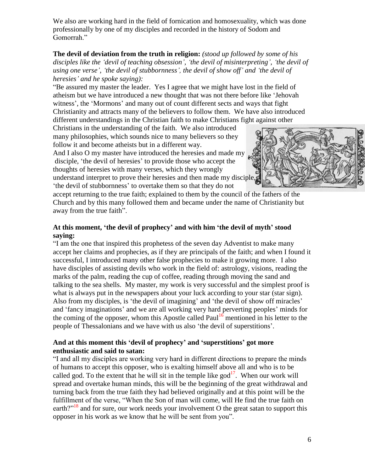We also are working hard in the field of fornication and homosexuality, which was done professionally by one of my disciples and recorded in the history of Sodom and Gomorrah."

**The devil of deviation from the truth in religion:** *(stood up followed by some of his disciples like the "devil of teaching obsession", "the devil of misinterpreting", "the devil of using one verse", "the devil of stubbornness", the devil of show off" and "the devil of heresies" and he spoke saying):*

"Be assured my master the leader. Yes I agree that we might have lost in the field of atheism but we have introduced a new thought that was not there before like "Jehovah witness', the 'Mormons' and many out of count different sects and ways that fight Christianity and attracts many of the believers to follow them. We have also introduced different understandings in the Christian faith to make Christians fight against other

Christians in the understanding of the faith. We also introduced many philosophies, which sounds nice to many believers so they follow it and become atheists but in a different way.

And I also O my master have introduced the heresies and made my disciple, 'the devil of heresies' to provide those who accept the thoughts of heresies with many verses, which they wrongly understand interpret to prove their heresies and then made my disciple, "the devil of stubbornness" to overtake them so that they do not



accept returning to the true faith; explained to them by the council of the fathers of the Church and by this many followed them and became under the name of Christianity but away from the true faith".

## **At this moment, 'the devil of prophecy' and with him 'the devil of myth' stood saying:**

"I am the one that inspired this prophetess of the seven day Adventist to make many accept her claims and prophecies, as if they are principals of the faith; and when I found it successful, I introduced many other false prophecies to make it growing more. I also have disciples of assisting devils who work in the field of: astrology, visions, reading the marks of the palm, reading the cup of coffee, reading through moving the sand and talking to the sea shells. My master, my work is very successful and the simplest proof is what is always put in the newspapers about your luck according to your star (star sign). Also from my disciples, is 'the devil of imagining' and 'the devil of show off miracles' and 'fancy imaginations' and we are all working very hard perverting peoples' minds for the coming of the opposer, whom this Apostle called Paul<sup>16</sup> mentioned in his letter to the people of Thessalonians and we have with us also "the devil of superstitions".

## **And at this moment this 'devil of prophecy' and 'superstitions' got more enthusiastic and said to satan:**

"I and all my disciples are working very hard in different directions to prepare the minds of humans to accept this opposer, who is exalting himself above all and who is to be called god. To the extent that he will sit in the temple like god $17$ . When our work will spread and overtake human minds, this will be the beginning of the great withdrawal and turning back from the true faith they had believed originally and at this point will be the fulfillment of the verse, "When the Son of man will come, will He find the true faith on earth?"<sup>18</sup> and for sure, our work needs your involvement O the great satan to support this opposer in his work as we know that he will be sent from you".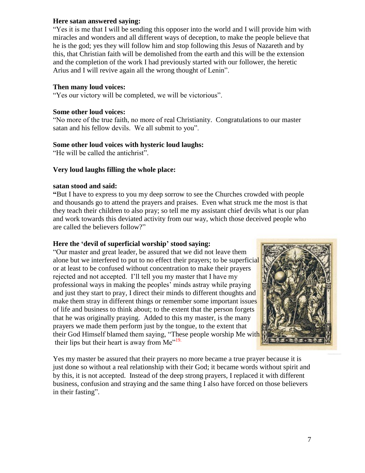#### **Here satan answered saying:**

"Yes it is me that I will be sending this opposer into the world and I will provide him with miracles and wonders and all different ways of deception, to make the people believe that he is the god; yes they will follow him and stop following this Jesus of Nazareth and by this, that Christian faith will be demolished from the earth and this will be the extension and the completion of the work I had previously started with our follower, the heretic Arius and I will revive again all the wrong thought of Lenin".

## **Then many loud voices:**

"Yes our victory will be completed, we will be victorious".

## **Some other loud voices:**

"No more of the true faith, no more of real Christianity. Congratulations to our master satan and his fellow devils. We all submit to you".

## **Some other loud voices with hysteric loud laughs:**

"He will be called the antichrist".

## **Very loud laughs filling the whole place:**

## **satan stood and said:**

**"**But I have to express to you my deep sorrow to see the Churches crowded with people and thousands go to attend the prayers and praises. Even what struck me the most is that they teach their children to also pray; so tell me my assistant chief devils what is our plan and work towards this deviated activity from our way, which those deceived people who are called the believers follow?"

## **Here the 'devil of superficial worship' stood saying:**

"Our master and great leader, be assured that we did not leave them alone but we interfered to put to no effect their prayers; to be superficial or at least to be confused without concentration to make their prayers rejected and not accepted. I"ll tell you my master that I have my professional ways in making the peoples" minds astray while praying and just they start to pray, I direct their minds to different thoughts and make them stray in different things or remember some important issues of life and business to think about; to the extent that the person forgets that he was originally praying. Added to this my master, is the many prayers we made them perform just by the tongue, to the extent that their God Himself blamed them saying, "These people worship Me with their lips but their heart is away from  $Me^{19}$ .



Yes my master be assured that their prayers no more became a true prayer because it is just done so without a real relationship with their God; it became words without spirit and by this, it is not accepted. Instead of the deep strong prayers, I replaced it with different business, confusion and straying and the same thing I also have forced on those believers in their fasting".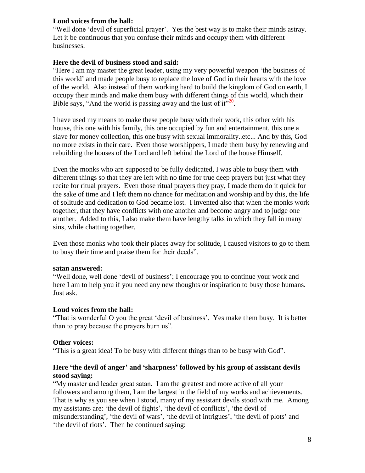## **Loud voices from the hall:**

"Well done "devil of superficial prayer". Yes the best way is to make their minds astray. Let it be continuous that you confuse their minds and occupy them with different businesses.

#### **Here the devil of business stood and said:**

"Here I am my master the great leader, using my very powerful weapon "the business of this world" and made people busy to replace the love of God in their hearts with the love of the world. Also instead of them working hard to build the kingdom of God on earth, I occupy their minds and make them busy with different things of this world, which their Bible says, "And the world is passing away and the lust of  $it^{\cdot20}$ .

I have used my means to make these people busy with their work, this other with his house, this one with his family, this one occupied by fun and entertainment, this one a slave for money collection, this one busy with sexual immorality..etc... And by this, God no more exists in their care. Even those worshippers, I made them busy by renewing and rebuilding the houses of the Lord and left behind the Lord of the house Himself.

Even the monks who are supposed to be fully dedicated, I was able to busy them with different things so that they are left with no time for true deep prayers but just what they recite for ritual prayers. Even those ritual prayers they pray, I made them do it quick for the sake of time and I left them no chance for meditation and worship and by this, the life of solitude and dedication to God became lost. I invented also that when the monks work together, that they have conflicts with one another and become angry and to judge one another. Added to this, I also make them have lengthy talks in which they fall in many sins, while chatting together.

Even those monks who took their places away for solitude, I caused visitors to go to them to busy their time and praise them for their deeds".

#### **satan answered:**

"Well done, well done "devil of business"; I encourage you to continue your work and here I am to help you if you need any new thoughts or inspiration to busy those humans. Just ask.

#### **Loud voices from the hall:**

"That is wonderful O you the great "devil of business". Yes make them busy. It is better than to pray because the prayers burn us".

#### **Other voices:**

"This is a great idea! To be busy with different things than to be busy with God".

## **Here 'the devil of anger' and 'sharpness' followed by his group of assistant devils stood saying:**

"My master and leader great satan. I am the greatest and more active of all your followers and among them, I am the largest in the field of my works and achievements. That is why as you see when I stood, many of my assistant devils stood with me. Among my assistants are: 'the devil of fights', 'the devil of conflicts', 'the devil of misunderstanding', 'the devil of wars', 'the devil of intrigues', 'the devil of plots' and 'the devil of riots'. Then he continued saying: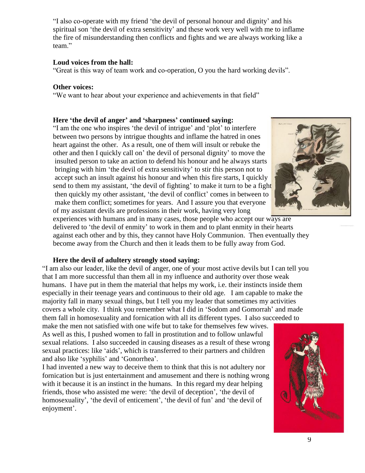"I also co-operate with my friend "the devil of personal honour and dignity" and his spiritual son 'the devil of extra sensitivity' and these work very well with me to inflame the fire of misunderstanding then conflicts and fights and we are always working like a team."

#### **Loud voices from the hall:**

"Great is this way of team work and co-operation, O you the hard working devils".

#### **Other voices:**

"We want to hear about your experience and achievements in that field"

#### **Here 'the devil of anger' and 'sharpness' continued saying:**

"I am the one who inspires "the devil of intrigue" and "plot" to interfere between two persons by intrigue thoughts and inflame the hatred in ones heart against the other. As a result, one of them will insult or rebuke the other and then I quickly call on" the devil of personal dignity" to move the insulted person to take an action to defend his honour and he always starts bringing with him 'the devil of extra sensitivity' to stir this person not to accept such an insult against his honour and when this fire starts, I quickly send to them my assistant, 'the devil of fighting' to make it turn to be a fight then quickly my other assistant, "the devil of conflict" comes in between to make them conflict; sometimes for years. And I assure you that everyone of my assistant devils are professions in their work, having very long



experiences with humans and in many cases, those people who accept our ways are delivered to 'the devil of enmity' to work in them and to plant enmity in their hearts against each other and by this, they cannot have Holy Communion. Then eventually they become away from the Church and then it leads them to be fully away from God.

#### **Here the devil of adultery strongly stood saying:**

"I am also our leader, like the devil of anger, one of your most active devils but I can tell you that I am more successful than them all in my influence and authority over those weak humans. I have put in them the material that helps my work, i.e. their instincts inside them especially in their teenage years and continuous to their old age. I am capable to make the majority fall in many sexual things, but I tell you my leader that sometimes my activities covers a whole city. I think you remember what I did in "Sodom and Gomorrah" and made them fall in homosexuality and fornication with all its different types. I also succeeded to

make the men not satisfied with one wife but to take for themselves few wives. As well as this, I pushed women to fall in prostitution and to follow unlawful sexual relations. I also succeeded in causing diseases as a result of these wrong sexual practices: like "aids", which is transferred to their partners and children and also like "syphilis" and "Gonorrhea".

I had invented a new way to deceive them to think that this is not adultery nor fornication but is just entertainment and amusement and there is nothing wrong with it because it is an instinct in the humans. In this regard my dear helping friends, those who assisted me were: "the devil of deception", "the devil of homosexuality', 'the devil of enticement', 'the devil of fun' and 'the devil of enjoyment'.

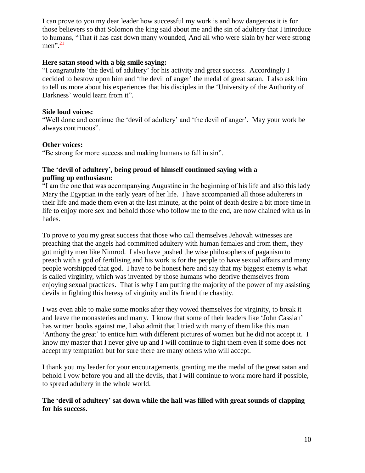I can prove to you my dear leader how successful my work is and how dangerous it is for those believers so that Solomon the king said about me and the sin of adultery that I introduce to humans, "That it has cast down many wounded, And all who were slain by her were strong men". 21

#### **Here satan stood with a big smile saying:**

"I congratulate "the devil of adultery" for his activity and great success. Accordingly I decided to bestow upon him and 'the devil of anger' the medal of great satan. I also ask him to tell us more about his experiences that his disciples in the "University of the Authority of Darkness' would learn from it".

## **Side loud voices:**

"Well done and continue the "devil of adultery" and "the devil of anger". May your work be always continuous".

## **Other voices:**

"Be strong for more success and making humans to fall in sin".

## **The 'devil of adultery', being proud of himself continued saying with a puffing up enthusiasm:**

"I am the one that was accompanying Augustine in the beginning of his life and also this lady Mary the Egyptian in the early years of her life. I have accompanied all those adulterers in their life and made them even at the last minute, at the point of death desire a bit more time in life to enjoy more sex and behold those who follow me to the end, are now chained with us in hades.

To prove to you my great success that those who call themselves Jehovah witnesses are preaching that the angels had committed adultery with human females and from them, they got mighty men like Nimrod. I also have pushed the wise philosophers of paganism to preach with a god of fertilising and his work is for the people to have sexual affairs and many people worshipped that god. I have to be honest here and say that my biggest enemy is what is called virginity, which was invented by those humans who deprive themselves from enjoying sexual practices. That is why I am putting the majority of the power of my assisting devils in fighting this heresy of virginity and its friend the chastity.

I was even able to make some monks after they vowed themselves for virginity, to break it and leave the monasteries and marry. I know that some of their leaders like "John Cassian" has written books against me, I also admit that I tried with many of them like this man 'Anthony the great' to entice him with different pictures of women but he did not accept it. I know my master that I never give up and I will continue to fight them even if some does not accept my temptation but for sure there are many others who will accept.

I thank you my leader for your encouragements, granting me the medal of the great satan and behold I vow before you and all the devils, that I will continue to work more hard if possible, to spread adultery in the whole world.

## **The 'devil of adultery' sat down while the hall was filled with great sounds of clapping for his success.**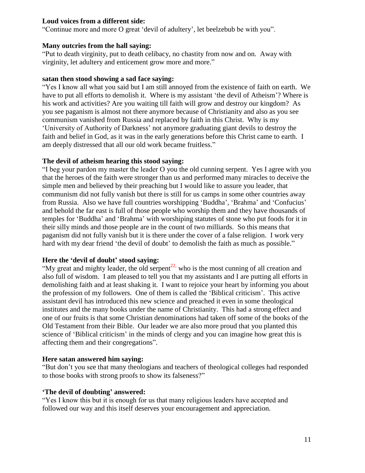## **Loud voices from a different side:**

"Continue more and more O great "devil of adultery", let beelzebub be with you".

#### **Many outcries from the hall saying:**

"Put to death virginity, put to death celibacy, no chastity from now and on. Away with virginity, let adultery and enticement grow more and more."

#### **satan then stood showing a sad face saying:**

"Yes I know all what you said but I am still annoyed from the existence of faith on earth. We have to put all efforts to demolish it. Where is my assistant "the devil of Atheism"? Where is his work and activities? Are you waiting till faith will grow and destroy our kingdom? As you see paganism is almost not there anymore because of Christianity and also as you see communism vanished from Russia and replaced by faith in this Christ. Why is my "University of Authority of Darkness" not anymore graduating giant devils to destroy the faith and belief in God, as it was in the early generations before this Christ came to earth. I am deeply distressed that all our old work became fruitless."

## **The devil of atheism hearing this stood saying:**

"I beg your pardon my master the leader O you the old cunning serpent. Yes I agree with you that the heroes of the faith were stronger than us and performed many miracles to deceive the simple men and believed by their preaching but I would like to assure you leader, that communism did not fully vanish but there is still for us camps in some other countries away from Russia. Also we have full countries worshipping 'Buddha', 'Brahma' and 'Confucius' and behold the far east is full of those people who worship them and they have thousands of temples for "Buddha" and "Brahma" with worshiping statutes of stone who put foods for it in their silly minds and those people are in the count of two milliards. So this means that paganism did not fully vanish but it is there under the cover of a false religion. I work very hard with my dear friend 'the devil of doubt' to demolish the faith as much as possible."

## **Here the 'devil of doubt' stood saying:**

"My great and mighty leader, the old serpent<sup>22,</sup> who is the most cunning of all creation and also full of wisdom. I am pleased to tell you that my assistants and I are putting all efforts in demolishing faith and at least shaking it. I want to rejoice your heart by informing you about the profession of my followers. One of them is called the "Biblical criticism". This active assistant devil has introduced this new science and preached it even in some theological institutes and the many books under the name of Christianity. This had a strong effect and one of our fruits is that some Christian denominations had taken off some of the books of the Old Testament from their Bible. Our leader we are also more proud that you planted this science of 'Biblical criticism' in the minds of clergy and you can imagine how great this is affecting them and their congregations".

## **Here satan answered him saying:**

"But don"t you see that many theologians and teachers of theological colleges had responded to those books with strong proofs to show its falseness?"

## **'The devil of doubting' answered:**

"Yes I know this but it is enough for us that many religious leaders have accepted and followed our way and this itself deserves your encouragement and appreciation.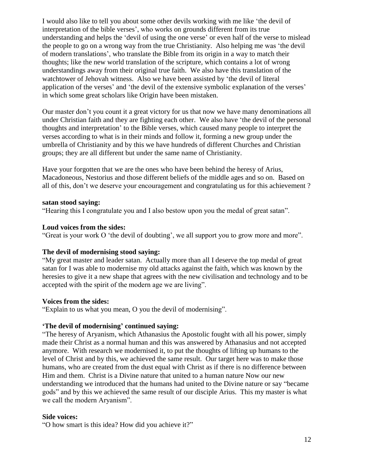I would also like to tell you about some other devils working with me like "the devil of interpretation of the bible verses", who works on grounds different from its true understanding and helps the 'devil of using the one verse' or even half of the verse to mislead the people to go on a wrong way from the true Christianity. Also helping me was "the devil of modern translations", who translate the Bible from its origin in a way to match their thoughts; like the new world translation of the scripture, which contains a lot of wrong understandings away from their original true faith. We also have this translation of the watchtower of Jehovah witness. Also we have been assisted by "the devil of literal application of the verses' and 'the devil of the extensive symbolic explanation of the verses' in which some great scholars like Origin have been mistaken.

Our master don"t you count it a great victory for us that now we have many denominations all under Christian faith and they are fighting each other. We also have "the devil of the personal thoughts and interpretation" to the Bible verses, which caused many people to interpret the verses according to what is in their minds and follow it, forming a new group under the umbrella of Christianity and by this we have hundreds of different Churches and Christian groups; they are all different but under the same name of Christianity.

Have your forgotten that we are the ones who have been behind the heresy of Arius, Macadoneous, Nestorius and those different beliefs of the middle ages and so on. Based on all of this, don"t we deserve your encouragement and congratulating us for this achievement ?

#### **satan stood saying:**

"Hearing this I congratulate you and I also bestow upon you the medal of great satan".

#### **Loud voices from the sides:**

"Great is your work O "the devil of doubting", we all support you to grow more and more".

#### **The devil of modernising stood saying:**

"My great master and leader satan. Actually more than all I deserve the top medal of great satan for I was able to modernise my old attacks against the faith, which was known by the heresies to give it a new shape that agrees with the new civilisation and technology and to be accepted with the spirit of the modern age we are living".

#### **Voices from the sides:**

"Explain to us what you mean, O you the devil of modernising".

#### **'The devil of modernising' continued saying:**

"The heresy of Aryanism, which Athanasius the Apostolic fought with all his power, simply made their Christ as a normal human and this was answered by Athanasius and not accepted anymore. With research we modernised it, to put the thoughts of lifting up humans to the level of Christ and by this, we achieved the same result. Our target here was to make those humans, who are created from the dust equal with Christ as if there is no difference between Him and them. Christ is a Divine nature that united to a human nature Now our new understanding we introduced that the humans had united to the Divine nature or say "became gods" and by this we achieved the same result of our disciple Arius. This my master is what we call the modern Aryanism".

#### **Side voices:**

"O how smart is this idea? How did you achieve it?"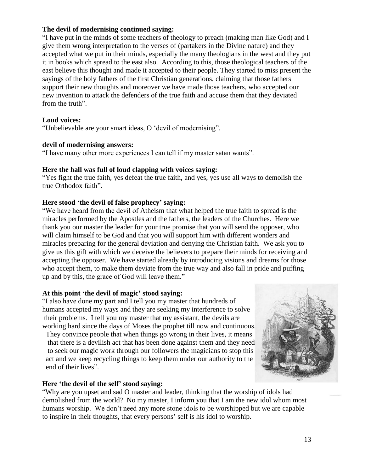## **The devil of modernising continued saying:**

"I have put in the minds of some teachers of theology to preach (making man like God) and I give them wrong interpretation to the verses of (partakers in the Divine nature) and they accepted what we put in their minds, especially the many theologians in the west and they put it in books which spread to the east also. According to this, those theological teachers of the east believe this thought and made it accepted to their people. They started to miss present the sayings of the holy fathers of the first Christian generations, claiming that those fathers support their new thoughts and moreover we have made those teachers, who accepted our new invention to attack the defenders of the true faith and accuse them that they deviated from the truth".

#### **Loud voices:**

"Unbelievable are your smart ideas, O "devil of modernising".

## **devil of modernising answers:**

"I have many other more experiences I can tell if my master satan wants".

## **Here the hall was full of loud clapping with voices saying:**

"Yes fight the true faith, yes defeat the true faith, and yes, yes use all ways to demolish the true Orthodox faith".

## **Here stood 'the devil of false prophecy' saying:**

"We have heard from the devil of Atheism that what helped the true faith to spread is the miracles performed by the Apostles and the fathers, the leaders of the Churches. Here we thank you our master the leader for your true promise that you will send the opposer, who will claim himself to be God and that you will support him with different wonders and miracles preparing for the general deviation and denying the Christian faith. We ask you to give us this gift with which we deceive the believers to prepare their minds for receiving and accepting the opposer. We have started already by introducing visions and dreams for those who accept them, to make them deviate from the true way and also fall in pride and puffing up and by this, the grace of God will leave them."

## **At this point 'the devil of magic' stood saying:**

"I also have done my part and I tell you my master that hundreds of humans accepted my ways and they are seeking my interference to solve their problems. I tell you my master that my assistant, the devils are working hard since the days of Moses the prophet till now and continuous. They convince people that when things go wrong in their lives, it means

that there is a devilish act that has been done against them and they need to seek our magic work through our followers the magicians to stop this act and we keep recycling things to keep them under our authority to the end of their lives".

# **Here 'the devil of the self' stood saying:**

"Why are you upset and sad O master and leader, thinking that the worship of idols had demolished from the world? No my master, I inform you that I am the new idol whom most humans worship. We don't need any more stone idols to be worshipped but we are capable to inspire in their thoughts, that every persons" self is his idol to worship.

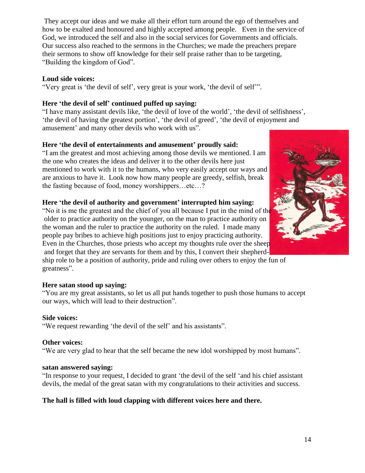They accept our ideas and we make all their effort turn around the ego of themselves and how to be exalted and honoured and highly accepted among people. Even in the service of God, we introduced the self and also in the social services for Governments and officials. Our success also reached to the sermons in the Churches; we made the preachers prepare their sermons to show off knowledge for their self praise rather than to be targeting, "Building the kingdom of God".

## **Loud side voices:**

"Very great is "the devil of self", very great is your work, "the devil of self"".

## **Here 'the devil of self' continued puffed up saying:**

"I have many assistant devils like, "the devil of love of the world", "the devil of selfishness", 'the devil of having the greatest portion', 'the devil of greed', 'the devil of enjoyment and amusement' and many other devils who work with us".

## **Here 'the devil of entertainments and amusement' proudly said:**

"I am the greatest and most achieving among those devils we mentioned. I am the one who creates the ideas and deliver it to the other devils here just mentioned to work with it to the humans, who very easily accept our ways and are anxious to have it. Look now how many people are greedy, selfish, break the fasting because of food, money worshippers…etc…?

## **Here 'the devil of authority and government' interrupted him saying:**

"No it is me the greatest and the chief of you all because I put in the mind of the older to practice authority on the younger, on the man to practice authority on the woman and the ruler to practice the authority on the ruled. I made many people pay bribes to achieve high positions just to enjoy practicing authority. Even in the Churches, those priests who accept my thoughts rule over the sheep and forget that they are servants for them and by this, I convert their shepherd-

ship role to be a position of authority, pride and ruling over others to enjoy the fun of greatness".

## **Here satan stood up saying:**

"You are my great assistants, so let us all put hands together to push those humans to accept our ways, which will lead to their destruction".

#### **Side voices:**

"We request rewarding "the devil of the self" and his assistants".

#### **Other voices:**

"We are very glad to hear that the self became the new idol worshipped by most humans".

#### **satan answered saying:**

"In response to your request, I decided to grant "the devil of the self "and his chief assistant devils, the medal of the great satan with my congratulations to their activities and success.

## **The hall is filled with loud clapping with different voices here and there.**

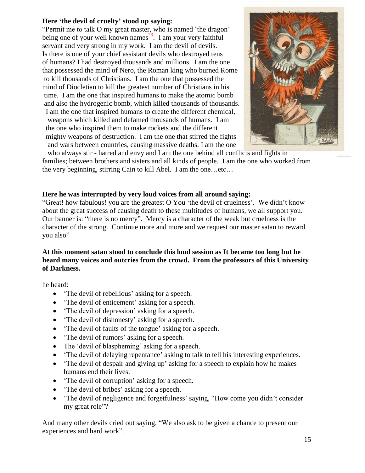## **Here 'the devil of cruelty' stood up saying:**

"Permit me to talk O my great master, who is named "the dragon" being one of your well known names<sup>23</sup>. I am your very faithful servant and very strong in my work. I am the devil of devils. Is there is one of your chief assistant devils who destroyed tens of humans? I had destroyed thousands and millions. I am the one that possessed the mind of Nero, the Roman king who burned Rome to kill thousands of Christians. I am the one that possessed the mind of Diocletian to kill the greatest number of Christians in his time. I am the one that inspired humans to make the atomic bomb and also the hydrogenic bomb, which killed thousands of thousands. I am the one that inspired humans to create the different chemical, weapons which killed and defamed thousands of humans. I am the one who inspired them to make rockets and the different mighty weapons of destruction. I am the one that stirred the fights and wars between countries, causing massive deaths. I am the one



who always stir - hatred and envy and I am the one behind all conflicts and fights in families; between brothers and sisters and all kinds of people. I am the one who worked from the very beginning, stirring Cain to kill Abel. I am the one…etc…

## **Here he was interrupted by very loud voices from all around saying:**

"Great! how fabulous! you are the greatest O You "the devil of cruelness". We didn"t know about the great success of causing death to these multitudes of humans, we all support you. Our banner is: "there is no mercy". Mercy is a character of the weak but cruelness is the character of the strong. Continue more and more and we request our master satan to reward you also"

## **At this moment satan stood to conclude this loud session as It became too long but he heard many voices and outcries from the crowd. From the professors of this University of Darkness.**

he heard:

- The devil of rebellious' asking for a speech.
- The devil of enticement' asking for a speech.
- The devil of depression' asking for a speech.
- The devil of dishonesty' asking for a speech.
- The devil of faults of the tongue' asking for a speech.
- The devil of rumors' asking for a speech.
- The 'devil of blaspheming' asking for a speech.
- The devil of delaying repentance' asking to talk to tell his interesting experiences.
- The devil of despair and giving up' asking for a speech to explain how he makes humans end their lives.
- The devil of corruption' asking for a speech.
- The devil of bribes' asking for a speech.
- The devil of negligence and forgetfulness' saying, "How come you didn't consider my great role"?

And many other devils cried out saying, "We also ask to be given a chance to present our experiences and hard work".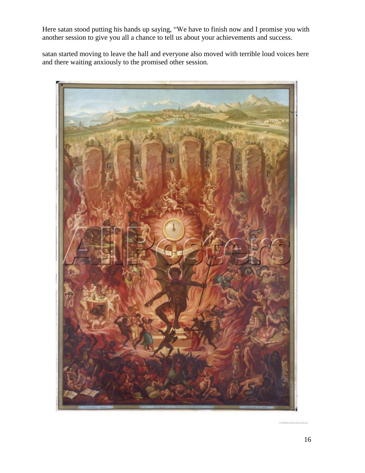Here satan stood putting his hands up saying, "We have to finish now and I promise you with another session to give you all a chance to tell us about your achievements and success.

satan started moving to leave the hall and everyone also moved with terrible loud voices here and there waiting anxiously to the promised other session.